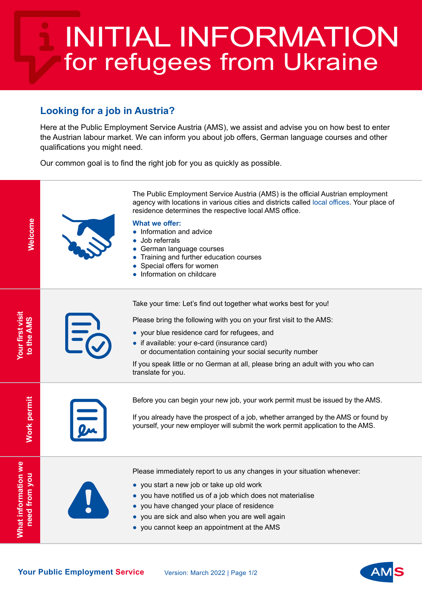## **Looking for a job in Austria?**

Here at the Public Employment Service Austria (AMS), we assist and advise you on how best to enter the Austrian labour market. We can inform you about job offers, German language courses and other qualifications you might need.

Our common goal is to find the right job for you as quickly as possible.